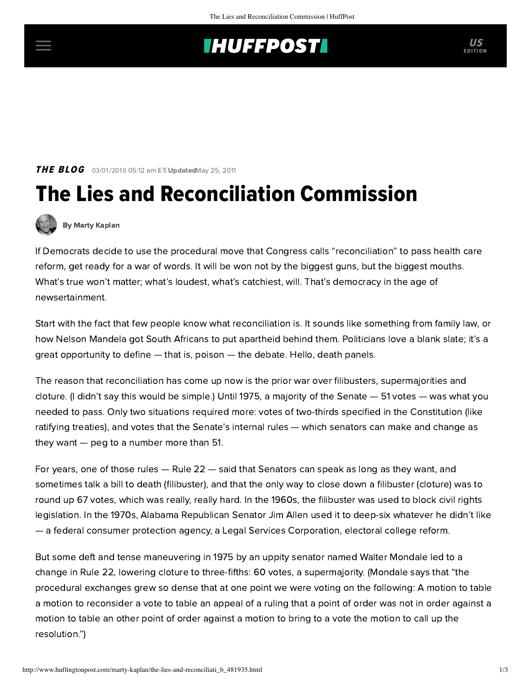## **INUFFPOSTI** US

**THE BLOG** 03/01/2010 05:12 am ETI UpdatedMay 25, 2011

## The Lies and Reconciliation Commission



[By Marty Kaplan](http://www.huffingtonpost.com/author/marty-kaplan)

If Democrats decide to use the procedural move that Congress calls "reconciliation" to pass health care reform, get ready for a war of words. It will be won not by the biggest guns, but the biggest mouths. What's true won't matter; what's loudest, what's catchiest, will. That's democracy in the age of newsertainment.

Start with the fact that few people know what reconciliation is. It sounds like something from family law, or how Nelson Mandela got South Africans to put apartheid behind them. Politicians love a blank slate; it's a great opportunity to define — that is, poison — the debate. Hello, death panels.

The reason that reconciliation has come up now is the prior war over filibusters, supermajorities and cloture. (I didn't say this would be simple.) Until 1975, a majority of the Senate — 51 votes — was what you needed to pass. Only two situations required more: votes of two-thirds specified in the Constitution (like ratifying treaties), and votes that the Senate's internal rules — which senators can make and change as they want — peg to a number more than 51.

For years, one of those rules — Rule 22 — said that Senators can speak as long as they want, and sometimes talk a bill to death (filibuster), and that the only way to close down a filibuster (cloture) was to round up 67 votes, which was really, really hard. In the 1960s, the filibuster was used to block civil rights legislation. In the 1970s, Alabama Republican Senator Jim Allen used it to deep-six whatever he didn't like — a federal consumer protection agency, a Legal Services Corporation, electoral college reform.

But some deft and tense [maneuvering](http://www.minnpost.com/ericblack/2010/02/02/15534/fixing_the_filibuster_problem_what_mondale_would_do) in 1975 by an uppity senator named Walter Mondale led to a change in Rule 22, lowering cloture to three-fifths: 60 votes, a supermajority. (Mondale says that "the procedural exchanges grew so dense that at one point we were voting on the following: A motion to table a motion to reconsider a vote to table an appeal of a ruling that a point of order was not in order against a motion to table an other point of order against a motion to bring to a vote the motion to call up the resolution.")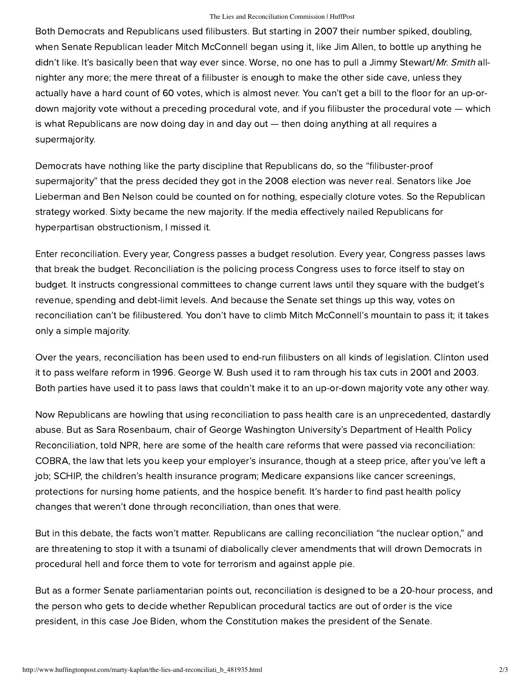## The Lies and Reconciliation Commission | HuffPost

Both Democrats and Republicans used filibusters. But starting in 2007 their number [spiked](http://tpmdc.talkingpointsmemo.com/2010/01/the-rise-of-cloture-how-gop-filibuster-threats-have-changed-the-senate.php), doubling, when Senate Republican leader Mitch McConnell began using it, like Jim Allen, to bottle up anything he didn't like. It's basically been that way ever since. Worse, no one has to pull a Jimmy Stewart/Mr. Smith allnighter any more; the mere threat of a filibuster is enough to make the other side cave, unless they actually have a hard count of 60 votes, which is almost never. You can't get a bill to the floor for an up-ordown majority vote without a preceding procedural vote, and if you filibuster the procedural vote — which is what Republicans are now doing day in and day out — then doing anything at all requires a supermajority.

Democrats have nothing like the party discipline that Republicans do, so the "filibuster-proof supermajority" that the press decided they got in the 2008 election was never real. Senators like Joe Lieberman and Ben Nelson could be counted on for nothing, especially cloture votes. So the Republican strategy worked. Sixty became the new majority. If the media effectively nailed Republicans for hyperpartisan obstructionism, I missed it.

Enter reconciliation. Every year, Congress passes a budget resolution. Every year, Congress passes laws that break the budget. Reconciliation is the policing process Congress uses to force itself to stay on budget. It instructs congressional committees to change current laws until they square with the budget's revenue, spending and debt-limit levels. And because the Senate set things up this way, votes on reconciliation can't be filibustered. You don't have to climb Mitch McConnell's mountain to pass it; it takes only a simple majority.

Over the years, reconciliation has been used to end-run filibusters on all kinds of legislation. Clinton used it to pass welfare reform in 1996. George W. Bush used it to ram through his tax cuts in 2001 and 2003. Both parties have used it to pass laws that couldn't make it to an up-or-down majority vote any other way.

Now Republicans are howling that using reconciliation to pass health care is an unprecedented, dastardly abuse. But as [Sara Rosenbaum](http://www.npr.org/templates/story/story.php?storyId=124009985), chair of George Washington University's Department of Health Policy Reconciliation, told NPR, here are some of the health care reforms that were passed via reconciliation: COBRA, the law that lets you keep your employer's insurance, though at a steep price, after you've left a job; SCHIP, the children's health insurance program; Medicare expansions like cancer screenings, protections for nursing home patients, and the hospice benefit. It's harder to find past health policy changes that weren't done through reconciliation, than ones that were.

But in this debate, the [facts](http://www.thedemocraticstrategist.org/strategist/2010/02/ramming_through_legislation_vi.php) won't matter. Republicans are calling reconciliation "the nuclear option," and are [threatening](http://tpmdc.talkingpointsmemo.com/2010/02/should-democrats-take-republican-reconciliation-threats-seriously.php?ref=fpa) to stop it with a tsunami of diabolically clever [amendments](http://theplumline.whorunsgov.com/senate-republicans/gop-strategy-derail-health-bill-reconciliation-fix-with-free-for-all-of-amendments/) that will drown Democrats in procedural hell and force them to vote for terrorism and against apple pie.

But as a former Senate [parliamentarian](http://wonkroom.thinkprogress.org/2010/01/26/reconciliation-derail/) points out, reconciliation is designed to be a 20-hour process, and the person who gets to decide whether Republican procedural tactics are out of order is the vice president, in this case Joe Biden, whom the Constitution makes the president of the Senate.